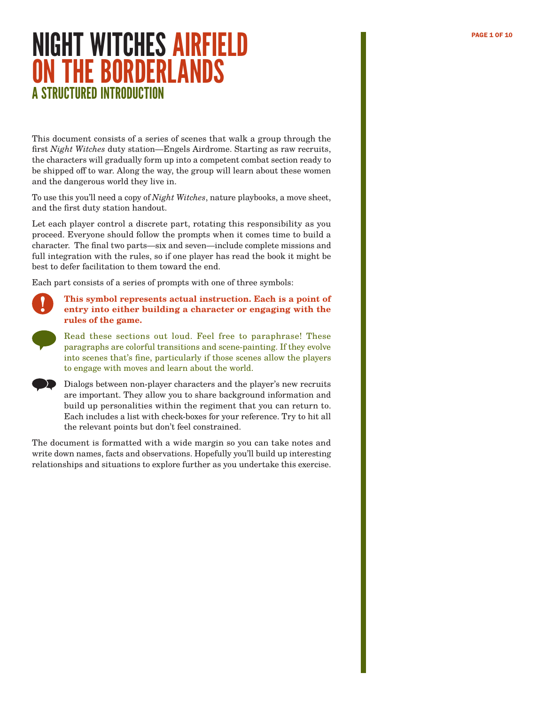### **NIGHT WITCHES AIRFIELD RESERVED BELLEV RESERVED BELLEV PAGE 1 OF 10** ON THE BORDERLANDS A STRUCTURED INTRODUCTION

This document consists of a series of scenes that walk a group through the first *Night Witches* duty station—Engels Airdrome. Starting as raw recruits, the characters will gradually form up into a competent combat section ready to be shipped off to war. Along the way, the group will learn about these women and the dangerous world they live in.

To use this you'll need a copy of *Night Witches*, nature playbooks, a move sheet, and the first duty station handout.

Let each player control a discrete part, rotating this responsibility as you proceed. Everyone should follow the prompts when it comes time to build a character. The final two parts—six and seven—include complete missions and full integration with the rules, so if one player has read the book it might be best to defer facilitation to them toward the end.

Each part consists of a series of prompts with one of three symbols:



**This symbol represents actual instruction. Each is a point of entry into either building a character or engaging with the rules of the game.**



Read these sections out loud. Feel free to paraphrase! These paragraphs are colorful transitions and scene-painting. If they evolve into scenes that's fine, particularly if those scenes allow the players to engage with moves and learn about the world.



The document is formatted with a wide margin so you can take notes and write down names, facts and observations. Hopefully you'll build up interesting relationships and situations to explore further as you undertake this exercise.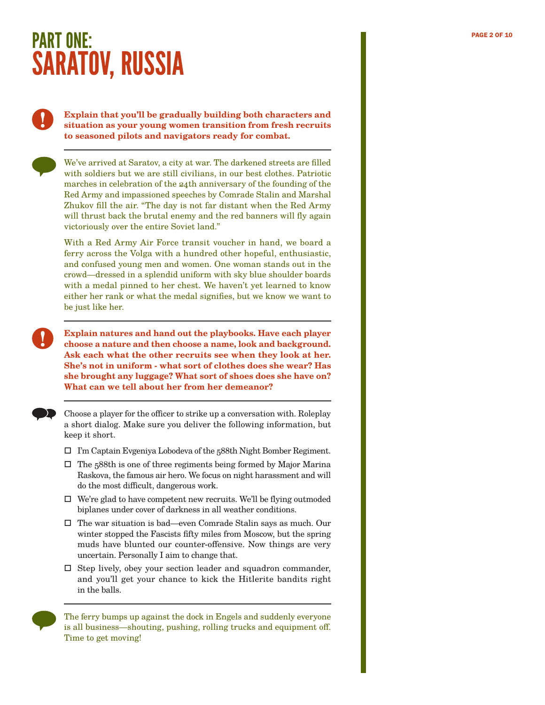# PART ONE: PART ONE: SARATOV, RUSSIA

### **Explain that you'll be gradually building both characters and situation as your young women transition from fresh recruits to seasoned pilots and navigators ready for combat.**

We've arrived at Saratov, a city at war. The darkened streets are filled with soldiers but we are still civilians, in our best clothes. Patriotic marches in celebration of the 24th anniversary of the founding of the Red Army and impassioned speeches by Comrade Stalin and Marshal Zhukov fill the air. "The day is not far distant when the Red Army will thrust back the brutal enemy and the red banners will fly again victoriously over the entire Soviet land."

With a Red Army Air Force transit voucher in hand, we board a ferry across the Volga with a hundred other hopeful, enthusiastic, and confused young men and women. One woman stands out in the crowd—dressed in a splendid uniform with sky blue shoulder boards with a medal pinned to her chest. We haven't yet learned to know either her rank or what the medal signifies, but we know we want to be just like her.

**Explain natures and hand out the playbooks. Have each player choose a nature and then choose a name, look and background. Ask each what the other recruits see when they look at her. She's not in uniform - what sort of clothes does she wear? Has she brought any luggage? What sort of shoes does she have on? What can we tell about her from her demeanor?**

Choose a player for the officer to strike up a conversation with. Roleplay a short dialog. Make sure you deliver the following information, but keep it short.

- I'm Captain Evgeniya Lobodeva of the 588th Night Bomber Regiment.
- $\square$  The 588th is one of three regiments being formed by Major Marina Raskova, the famous air hero. We focus on night harassment and will do the most difficult, dangerous work.
- $\Box$  We're glad to have competent new recruits. We'll be flying outmoded biplanes under cover of darkness in all weather conditions.
- $\square$  The war situation is bad—even Comrade Stalin says as much. Our winter stopped the Fascists fifty miles from Moscow, but the spring muds have blunted our counter-offensive. Now things are very uncertain. Personally I aim to change that.
- $\square$  Step lively, obey your section leader and squadron commander, and you'll get your chance to kick the Hitlerite bandits right in the balls.

The ferry bumps up against the dock in Engels and suddenly everyone is all business—shouting, pushing, rolling trucks and equipment off. Time to get moving!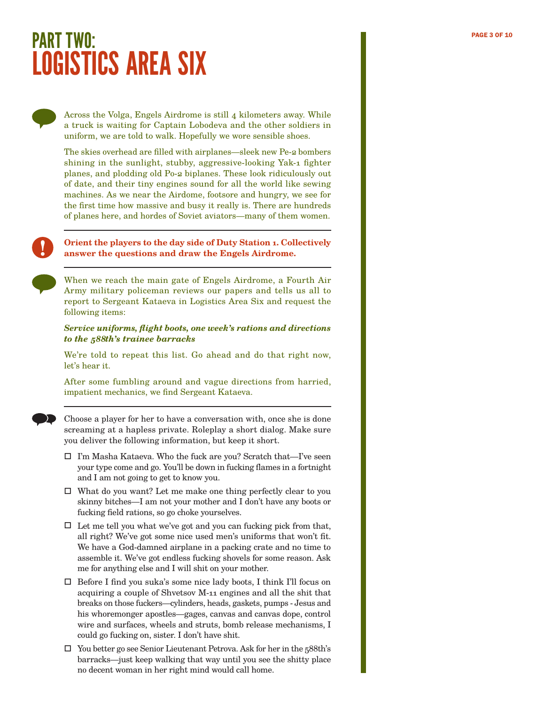## PART TWO: PAGE 3 OF 10 LOGISTICS AREA SIX

Across the Volga, Engels Airdrome is still 4 kilometers away. While a truck is waiting for Captain Lobodeva and the other soldiers in uniform, we are told to walk. Hopefully we wore sensible shoes.

The skies overhead are filled with airplanes—sleek new Pe-2 bombers shining in the sunlight, stubby, aggressive-looking Yak-1 fighter planes, and plodding old Po-2 biplanes. These look ridiculously out of date, and their tiny engines sound for all the world like sewing machines. As we near the Airdome, footsore and hungry, we see for the first time how massive and busy it really is. There are hundreds of planes here, and hordes of Soviet aviators—many of them women.

### **Orient the players to the day side of Duty Station 1. Collectively answer the questions and draw the Engels Airdrome.**

When we reach the main gate of Engels Airdrome, a Fourth Air Army military policeman reviews our papers and tells us all to report to Sergeant Kataeva in Logistics Area Six and request the following items:

### *Service uniforms, flight boots, one week's rations and directions to the 588th's trainee barracks*

We're told to repeat this list. Go ahead and do that right now, let's hear it.

After some fumbling around and vague directions from harried, impatient mechanics, we find Sergeant Kataeva.

Choose a player for her to have a conversation with, once she is done screaming at a hapless private. Roleplay a short dialog. Make sure you deliver the following information, but keep it short.

- $\Box$  I'm Masha Kataeva. Who the fuck are you? Scratch that—I've seen your type come and go. You'll be down in fucking flames in a fortnight and I am not going to get to know you.
- $\Box$  What do you want? Let me make one thing perfectly clear to you skinny bitches—I am not your mother and I don't have any boots or fucking field rations, so go choke yourselves.
- $\Box$  Let me tell you what we've got and you can fucking pick from that, all right? We've got some nice used men's uniforms that won't fit. We have a God-damned airplane in a packing crate and no time to assemble it. We've got endless fucking shovels for some reason. Ask me for anything else and I will shit on your mother.
- Before I find you suka's some nice lady boots, I think I'll focus on acquiring a couple of Shvetsov M-11 engines and all the shit that breaks on those fuckers—cylinders, heads, gaskets, pumps - Jesus and his whoremonger apostles—gages, canvas and canvas dope, control wire and surfaces, wheels and struts, bomb release mechanisms, I could go fucking on, sister. I don't have shit.
- $\Box$  You better go see Senior Lieutenant Petrova. Ask for her in the 588th's barracks—just keep walking that way until you see the shitty place no decent woman in her right mind would call home.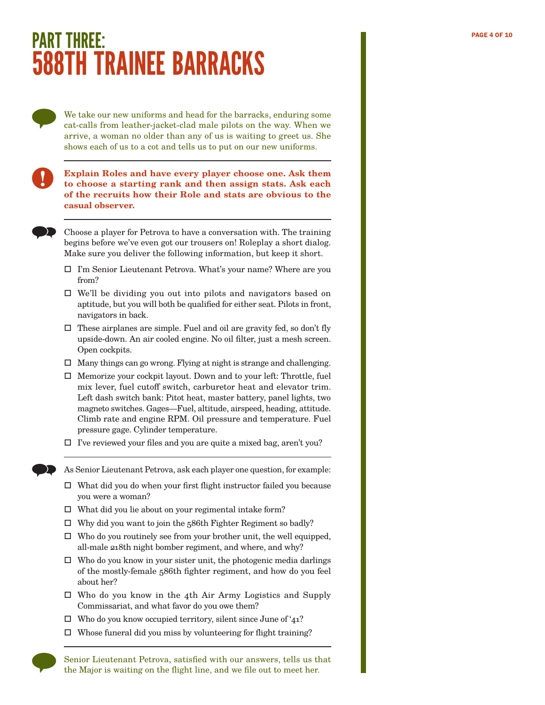## PART THREE: PAGE 4 OF 10 588TH TRAINEE BARRACKS

We take our new uniforms and head for the barracks, enduring some cat-calls from leather-jacket-clad male pilots on the way. When we arrive, a woman no older than any of us is waiting to greet us. She shows each of us to a cot and tells us to put on our new uniforms.

### **Explain Roles and have every player choose one. Ask them to choose a starting rank and then assign stats. Ask each of the recruits how their Role and stats are obvious to the casual observer.**

Choose a player for Petrova to have a conversation with. The training begins before we've even got our trousers on! Roleplay a short dialog. Make sure you deliver the following information, but keep it short.

- I'm Senior Lieutenant Petrova. What's your name? Where are you from?
- $\Box$  We'll be dividing you out into pilots and navigators based on aptitude, but you will both be qualified for either seat. Pilots in front, navigators in back.
- $\Box$  These airplanes are simple. Fuel and oil are gravity fed, so don't fly upside-down. An air cooled engine. No oil filter, just a mesh screen. Open cockpits.
- $\Box$  Many things can go wrong. Flying at night is strange and challenging.
- $\Box$  Memorize your cockpit layout. Down and to your left: Throttle, fuel mix lever, fuel cutoff switch, carburetor heat and elevator trim. Left dash switch bank: Pitot heat, master battery, panel lights, two magneto switches. Gages—Fuel, altitude, airspeed, heading, attitude. Climb rate and engine RPM. Oil pressure and temperature. Fuel pressure gage. Cylinder temperature.
- $\Box$  I've reviewed your files and you are quite a mixed bag, aren't you?

As Senior Lieutenant Petrova, ask each player one question, for example:

- $\Box$  What did you do when your first flight instructor failed you because you were a woman?
- $\Box$  What did you lie about on your regimental intake form?
- $\Box$  Why did you want to join the 586th Fighter Regiment so badly?
- $\Box$  Who do you routinely see from your brother unit, the well equipped, all-male 218th night bomber regiment, and where, and why?
- $\Box~$  Who do you know in your sister unit, the photogenic media darlings of the mostly-female 586th fighter regiment, and how do you feel about her?
- $\square$  Who do you know in the 4th Air Army Logistics and Supply Commissariat, and what favor do you owe them?
- $\Box$  Who do you know occupied territory, silent since June of '41?
- $\Box$  Whose funeral did you miss by volunteering for flight training?

Senior Lieutenant Petrova, satisfied with our answers, tells us that the Major is waiting on the flight line, and we file out to meet her.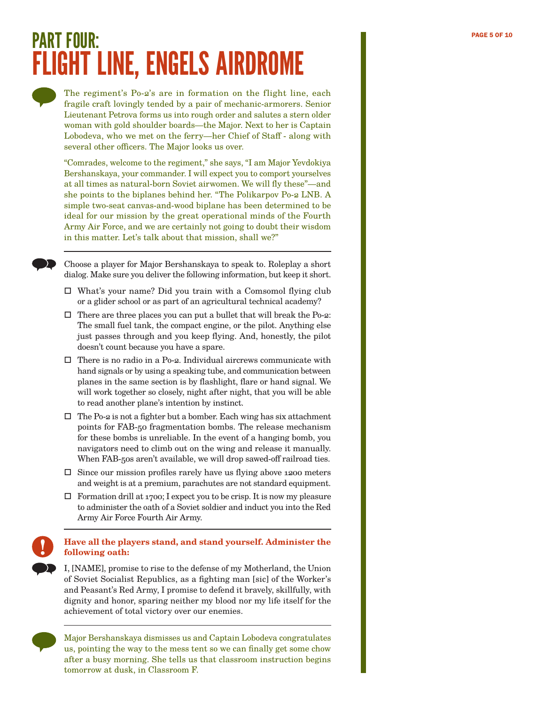# PART FOUR: PAGE 5 OF 10 PAGE 5 OF 10 FLIGHT LINE, ENGELS AIRDROME

The regiment's Po-2's are in formation on the flight line, each fragile craft lovingly tended by a pair of mechanic-armorers. Senior Lieutenant Petrova forms us into rough order and salutes a stern older woman with gold shoulder boards—the Major. Next to her is Captain Lobodeva, who we met on the ferry—her Chief of Staff - along with several other officers. The Major looks us over.

"Comrades, welcome to the regiment," she says, "I am Major Yevdokiya Bershanskaya, your commander. I will expect you to comport yourselves at all times as natural-born Soviet airwomen. We will fly these"—and she points to the biplanes behind her. "The Polikarpov Po-2 LNB. A simple two-seat canvas-and-wood biplane has been determined to be ideal for our mission by the great operational minds of the Fourth Army Air Force, and we are certainly not going to doubt their wisdom in this matter. Let's talk about that mission, shall we?"

Choose a player for Major Bershanskaya to speak to. Roleplay a short dialog. Make sure you deliver the following information, but keep it short.

- What's your name? Did you train with a Comsomol flying club or a glider school or as part of an agricultural technical academy?
- $\Box$  There are three places you can put a bullet that will break the Po-2: The small fuel tank, the compact engine, or the pilot. Anything else just passes through and you keep flying. And, honestly, the pilot doesn't count because you have a spare.
- $\square$  There is no radio in a Po-2. Individual aircrews communicate with hand signals or by using a speaking tube, and communication between planes in the same section is by flashlight, flare or hand signal. We will work together so closely, night after night, that you will be able to read another plane's intention by instinct.
- $\square$  The Po-2 is not a fighter but a bomber. Each wing has six attachment points for FAB-50 fragmentation bombs. The release mechanism for these bombs is unreliable. In the event of a hanging bomb, you navigators need to climb out on the wing and release it manually. When FAB-50s aren't available, we will drop sawed-off railroad ties.
- $\square$  Since our mission profiles rarely have us flying above 1200 meters and weight is at a premium, parachutes are not standard equipment.
- $\Box$  Formation drill at 1700; I expect you to be crisp. It is now my pleasure to administer the oath of a Soviet soldier and induct you into the Red Army Air Force Fourth Air Army.

**Have all the players stand, and stand yourself. Administer the following oath:**

I, [NAME], promise to rise to the defense of my Motherland, the Union of Soviet Socialist Republics, as a fighting man [sic] of the Worker's and Peasant's Red Army, I promise to defend it bravely, skillfully, with dignity and honor, sparing neither my blood nor my life itself for the achievement of total victory over our enemies.



Major Bershanskaya dismisses us and Captain Lobodeva congratulates us, pointing the way to the mess tent so we can finally get some chow after a busy morning. She tells us that classroom instruction begins tomorrow at dusk, in Classroom F.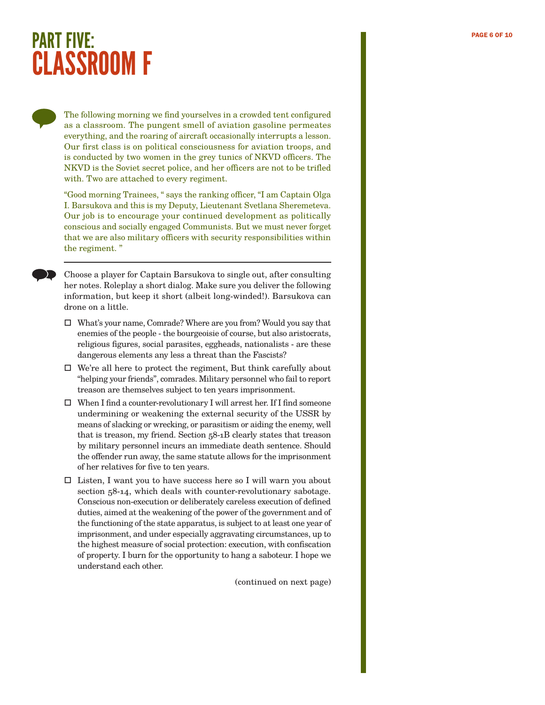### PART FIVE: PAGE 6 OF 10 CLASSROOM F

The following morning we find yourselves in a crowded tent configured as a classroom. The pungent smell of aviation gasoline permeates everything, and the roaring of aircraft occasionally interrupts a lesson. Our first class is on political consciousness for aviation troops, and is conducted by two women in the grey tunics of NKVD officers. The NKVD is the Soviet secret police, and her officers are not to be trifled with. Two are attached to every regiment.

"Good morning Trainees, " says the ranking officer, "I am Captain Olga I. Barsukova and this is my Deputy, Lieutenant Svetlana Sheremeteva. Our job is to encourage your continued development as politically conscious and socially engaged Communists. But we must never forget that we are also military officers with security responsibilities within the regiment. "

Choose a player for Captain Barsukova to single out, after consulting her notes. Roleplay a short dialog. Make sure you deliver the following information, but keep it short (albeit long-winded!). Barsukova can drone on a little.

- What's your name, Comrade? Where are you from? Would you say that enemies of the people - the bourgeoisie of course, but also aristocrats, religious figures, social parasites, eggheads, nationalists - are these dangerous elements any less a threat than the Fascists?
- $\Box$  We're all here to protect the regiment, But think carefully about "helping your friends", comrades. Military personnel who fail to report treason are themselves subject to ten years imprisonment.
- $\Box$  When I find a counter-revolutionary I will arrest her. If I find someone undermining or weakening the external security of the USSR by means of slacking or wrecking, or parasitism or aiding the enemy, well that is treason, my friend. Section 58-1B clearly states that treason by military personnel incurs an immediate death sentence. Should the offender run away, the same statute allows for the imprisonment of her relatives for five to ten years.
- $\square$  Listen, I want you to have success here so I will warn you about section  $58-14$ , which deals with counter-revolutionary sabotage. Conscious non-execution or deliberately careless execution of defined duties, aimed at the weakening of the power of the government and of the functioning of the state apparatus, is subject to at least one year of imprisonment, and under especially aggravating circumstances, up to the highest measure of social protection: execution, with confiscation of property. I burn for the opportunity to hang a saboteur. I hope we understand each other.

(continued on next page)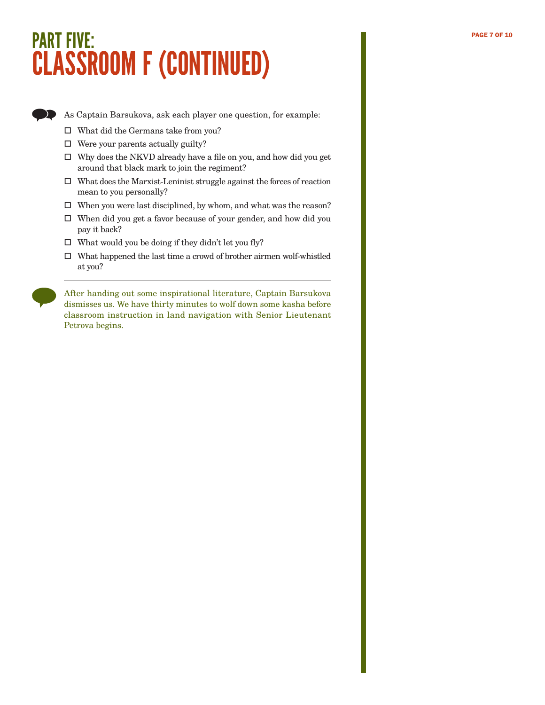# PART FIVE: PAGE 7 OF 10 CLASSROOM F (CONTINUED)



As Captain Barsukova, ask each player one question, for example:

- $\Box$  What did the Germans take from you?
- $\Box$  Were your parents actually guilty?
- Why does the NKVD already have a file on you, and how did you get around that black mark to join the regiment?
- $\square$  What does the Marxist-Leninist struggle against the forces of reaction mean to you personally?
- $\Box$  <br>When you were last disciplined, by whom, and what was the reason?
- When did you get a favor because of your gender, and how did you pay it back?
- $\Box$  What would you be doing if they didn't let you fly?
- $\square$  What happened the last time a crowd of brother airmen wolf-whistled at you?

After handing out some inspirational literature, Captain Barsukova dismisses us. We have thirty minutes to wolf down some kasha before classroom instruction in land navigation with Senior Lieutenant Petrova begins.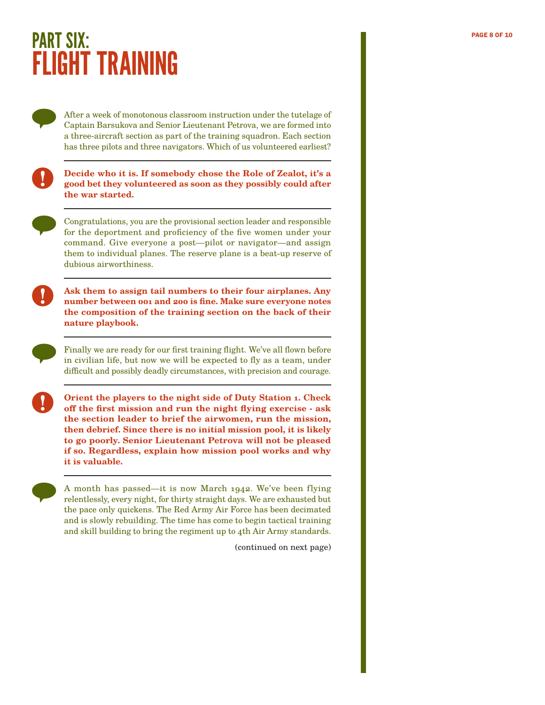# **PART SIX:**  $\frac{1}{2}$   $\frac{1}{2}$   $\frac{1}{2}$   $\frac{1}{2}$   $\frac{1}{2}$   $\frac{1}{2}$   $\frac{1}{2}$   $\frac{1}{2}$   $\frac{1}{2}$   $\frac{1}{2}$   $\frac{1}{2}$   $\frac{1}{2}$   $\frac{1}{2}$   $\frac{1}{2}$   $\frac{1}{2}$   $\frac{1}{2}$   $\frac{1}{2}$   $\frac{1}{2}$   $\frac{1}{2}$   $\frac{1}{2}$   $\frac{1}{2}$ FLIGHT TRAINING

After a week of monotonous classroom instruction under the tutelage of Captain Barsukova and Senior Lieutenant Petrova, we are formed into a three-aircraft section as part of the training squadron. Each section has three pilots and three navigators. Which of us volunteered earliest?

| V. | ۰,<br>۰. | ٠ |
|----|----------|---|

**Decide who it is. If somebody chose the Role of Zealot, it's a good bet they volunteered as soon as they possibly could after the war started.**



Congratulations, you are the provisional section leader and responsible for the deportment and proficiency of the five women under your command. Give everyone a post—pilot or navigator—and assign them to individual planes. The reserve plane is a beat-up reserve of dubious airworthiness.



**Ask them to assign tail numbers to their four airplanes. Any number between 001 and 200 is fine. Make sure everyone notes the composition of the training section on the back of their nature playbook.**



Finally we are ready for our first training flight. We've all flown before in civilian life, but now we will be expected to fly as a team, under difficult and possibly deadly circumstances, with precision and courage.

**Orient the players to the night side of Duty Station 1. Check off the first mission and run the night flying exercise - ask the section leader to brief the airwomen, run the mission, then debrief. Since there is no initial mission pool, it is likely to go poorly. Senior Lieutenant Petrova will not be pleased if so. Regardless, explain how mission pool works and why it is valuable.**

A month has passed—it is now March 1942. We've been flying relentlessly, every night, for thirty straight days. We are exhausted but the pace only quickens. The Red Army Air Force has been decimated and is slowly rebuilding. The time has come to begin tactical training and skill building to bring the regiment up to 4th Air Army standards.

(continued on next page)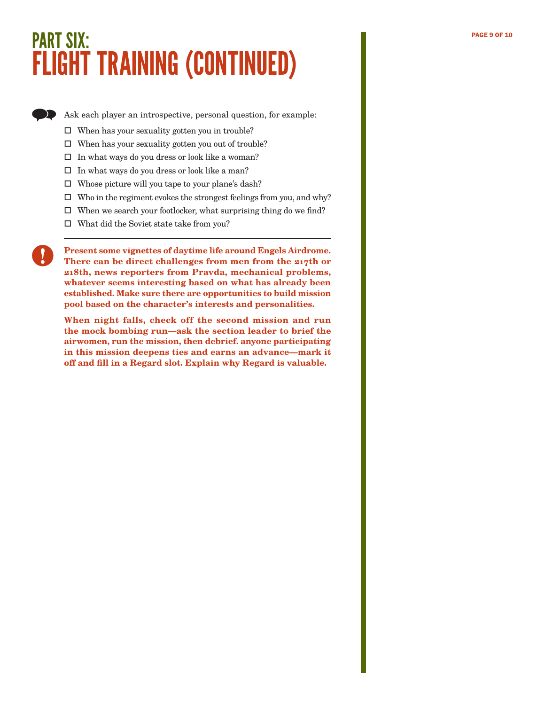# PART SIX: PART SIX: PAGE 9 OF 10 FLIGHT TRAINING (CONTINUED)

Ask each player an introspective, personal question, for example:

- $\Box$  When has your sexuality gotten you in trouble?
- $\Box$  When has your sexuality gotten you out of trouble?
- $\Box$  In what ways do you dress or look like a woman?
- $\square$  In what ways do you dress or look like a man?
- $\square$  Whose picture will you tape to your plane's dash?
- $\square$  Who in the regiment evokes the strongest feelings from you, and why?
- $\square$  When we search your footlocker, what surprising thing do we find?
- What did the Soviet state take from you?

**Present some vignettes of daytime life around Engels Airdrome. There can be direct challenges from men from the 217th or 218th, news reporters from Pravda, mechanical problems, whatever seems interesting based on what has already been established. Make sure there are opportunities to build mission pool based on the character's interests and personalities.**

**When night falls, check off the second mission and run the mock bombing run—ask the section leader to brief the airwomen, run the mission, then debrief. anyone participating in this mission deepens ties and earns an advance—mark it off and fill in a Regard slot. Explain why Regard is valuable.**